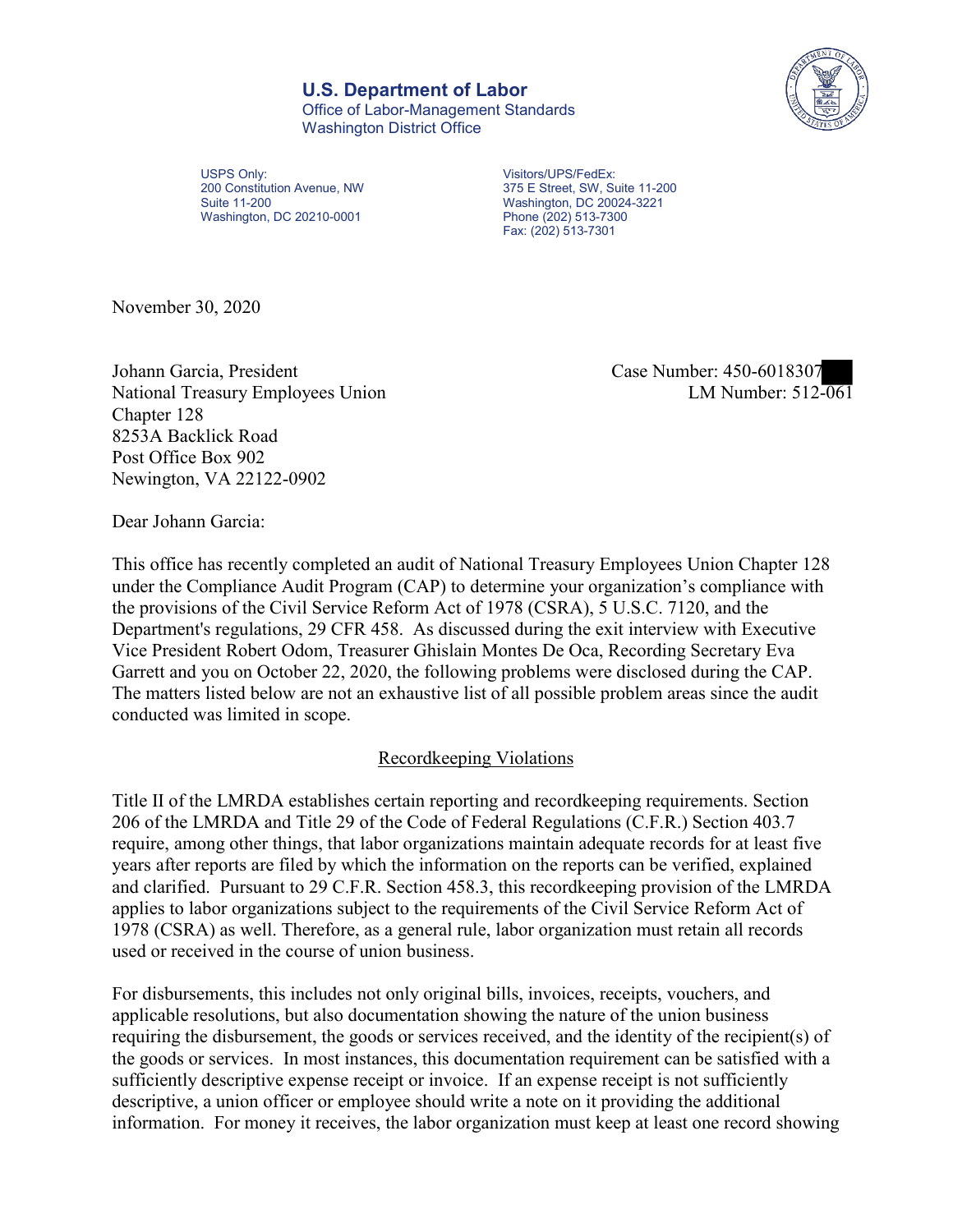## **U.S. Department of Labor**

Office of Labor-Management Standards Washington District Office



USPS Only:<br>
200 Constitution Avenue, NW<br>
375 E Street, SW, Su Suite 11-200 Washington, DC 20024-3221 Washington, DC 20210-0001 Phone (202) 513-7300

 200 Constitution Avenue, NW 375 E Street, SW, Suite 11-200 Fax: (202) 513-7301

November 30, 2020

Johann Garcia, President Case Number: 450-6018307 National Treasury Employees Union Chapter 128 8253A Backlick Road Post Office Box 902 Newington, VA 22122-0902

LM Number:  $512\overline{-061}$ 

Dear Johann Garcia:

 This office has recently completed an audit of National Treasury Employees Union Chapter 128 The matters listed below are not an exhaustive list of all possible problem areas since the audit under the Compliance Audit Program (CAP) to determine your organization's compliance with the provisions of the Civil Service Reform Act of 1978 (CSRA), 5 U.S.C. 7120, and the Department's regulations, 29 CFR 458. As discussed during the exit interview with Executive Vice President Robert Odom, Treasurer Ghislain Montes De Oca, Recording Secretary Eva Garrett and you on October 22, 2020, the following problems were disclosed during the CAP. conducted was limited in scope.

## Recordkeeping Violations

 Title II of the LMRDA establishes certain reporting and recordkeeping requirements. Section and clarified. Pursuant to 29 C.F.R. Section 458.3, this recordkeeping provision of the LMRDA 206 of the LMRDA and Title 29 of the Code of Federal Regulations (C.F.R.) Section 403.7 require, among other things, that labor organizations maintain adequate records for at least five years after reports are filed by which the information on the reports can be verified, explained applies to labor organizations subject to the requirements of the Civil Service Reform Act of 1978 (CSRA) as well. Therefore, as a general rule, labor organization must retain all records used or received in the course of union business.

For disbursements, this includes not only original bills, invoices, receipts, vouchers, and applicable resolutions, but also documentation showing the nature of the union business requiring the disbursement, the goods or services received, and the identity of the recipient(s) of the goods or services. In most instances, this documentation requirement can be satisfied with a sufficiently descriptive expense receipt or invoice. If an expense receipt is not sufficiently descriptive, a union officer or employee should write a note on it providing the additional information. For money it receives, the labor organization must keep at least one record showing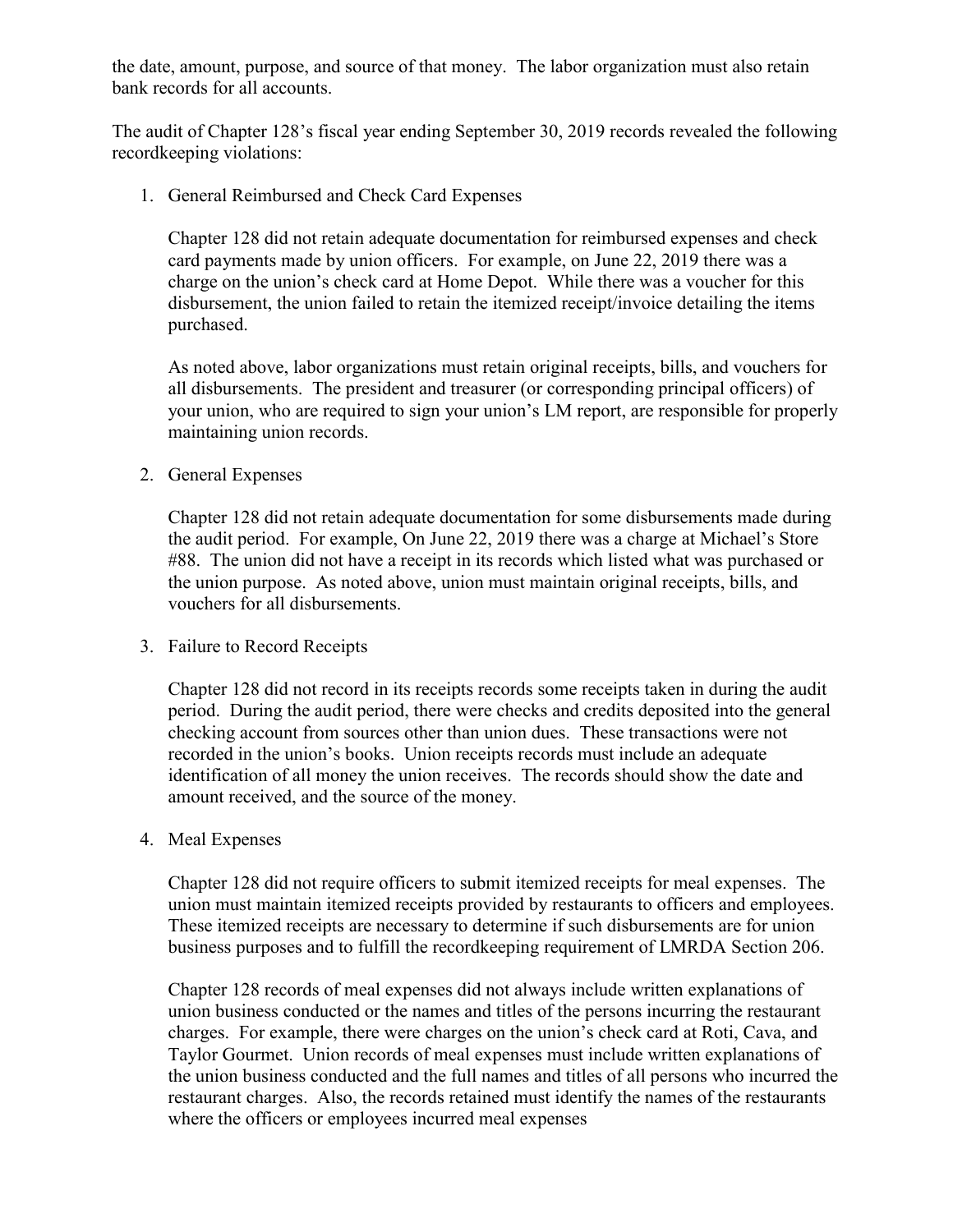the date, amount, purpose, and source of that money. The labor organization must also retain bank records for all accounts.

The audit of Chapter 128's fiscal year ending September 30, 2019 records revealed the following recordkeeping violations:

1. General Reimbursed and Check Card Expenses

 charge on the union's check card at Home Depot. While there was a voucher for this Chapter 128 did not retain adequate documentation for reimbursed expenses and check card payments made by union officers. For example, on June 22, 2019 there was a disbursement, the union failed to retain the itemized receipt/invoice detailing the items purchased.

 all disbursements. The president and treasurer (or corresponding principal officers) of As noted above, labor organizations must retain original receipts, bills, and vouchers for your union, who are required to sign your union's LM report, are responsible for properly maintaining union records.

2. General Expenses

Chapter 128 did not retain adequate documentation for some disbursements made during the audit period. For example, On June 22, 2019 there was a charge at Michael's Store #88. The union did not have a receipt in its records which listed what was purchased or the union purpose. As noted above, union must maintain original receipts, bills, and vouchers for all disbursements.

3. Failure to Record Receipts

 Chapter 128 did not record in its receipts records some receipts taken in during the audit period. During the audit period, there were checks and credits deposited into the general checking account from sources other than union dues. These transactions were not recorded in the union's books. Union receipts records must include an adequate identification of all money the union receives. The records should show the date and amount received, and the source of the money.

4. Meal Expenses

 business purposes and to fulfill the recordkeeping requirement of LMRDA Section 206. Chapter 128 did not require officers to submit itemized receipts for meal expenses. The union must maintain itemized receipts provided by restaurants to officers and employees. These itemized receipts are necessary to determine if such disbursements are for union

 charges. For example, there were charges on the union's check card at Roti, Cava, and Chapter 128 records of meal expenses did not always include written explanations of union business conducted or the names and titles of the persons incurring the restaurant Taylor Gourmet. Union records of meal expenses must include written explanations of the union business conducted and the full names and titles of all persons who incurred the restaurant charges. Also, the records retained must identify the names of the restaurants where the officers or employees incurred meal expenses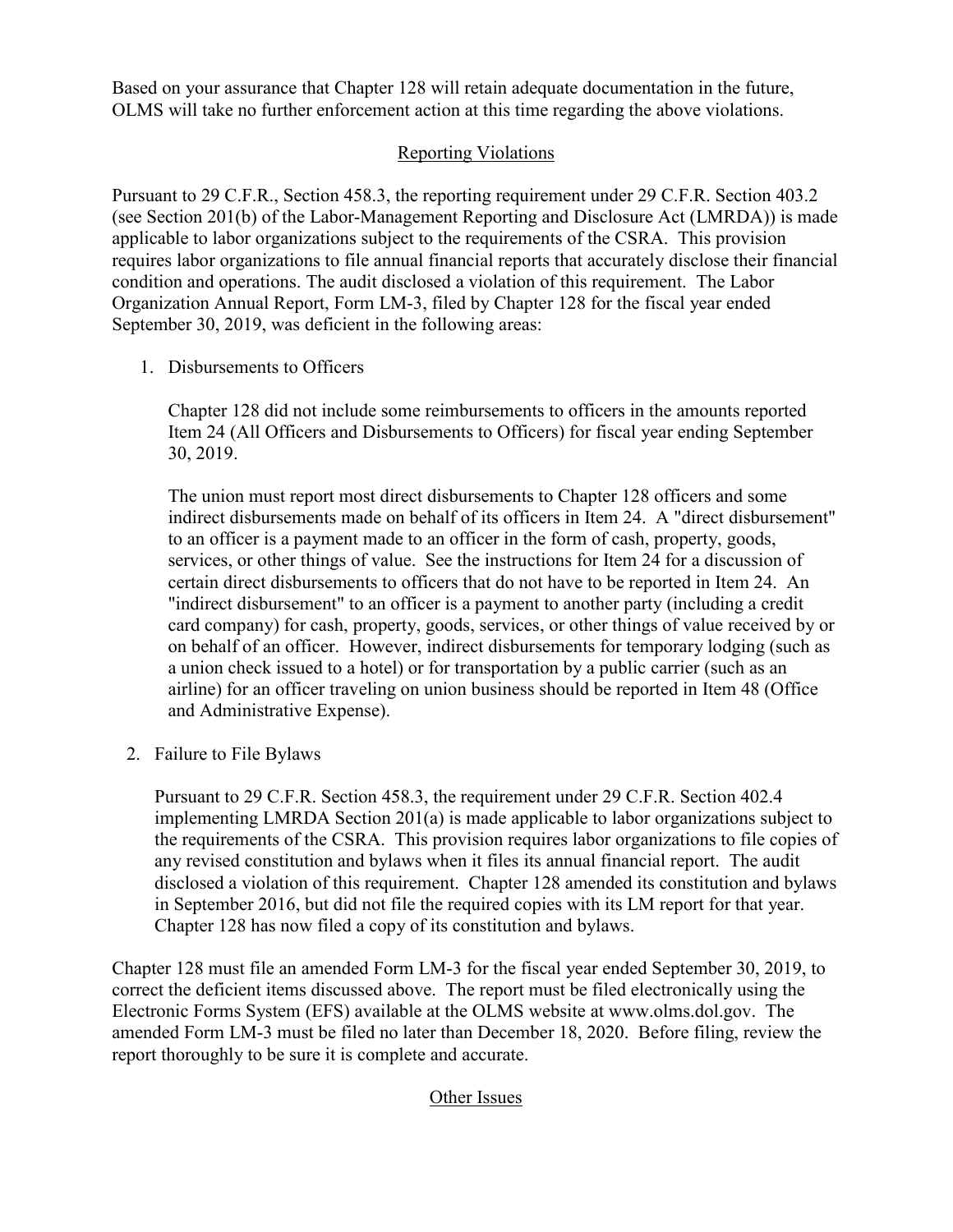Based on your assurance that Chapter 128 will retain adequate documentation in the future, OLMS will take no further enforcement action at this time regarding the above violations.

## Reporting Violations

 condition and operations. The audit disclosed a violation of this requirement. The Labor Organization Annual Report, Form LM-3, filed by Chapter 128 for the fiscal year ended Pursuant to 29 C.F.R., Section 458.3, the reporting requirement under 29 C.F.R. Section 403.2 (see Section 201(b) of the Labor-Management Reporting and Disclosure Act (LMRDA)) is made applicable to labor organizations subject to the requirements of the CSRA. This provision requires labor organizations to file annual financial reports that accurately disclose their financial September 30, 2019, was deficient in the following areas:

1. Disbursements to Officers

 Item 24 (All Officers and Disbursements to Officers) for fiscal year ending September Chapter 128 did not include some reimbursements to officers in the amounts reported 30, 2019.

 services, or other things of value. See the instructions for Item 24 for a discussion of "indirect disbursement" to an officer is a payment to another party (including a credit a union check issued to a hotel) or for transportation by a public carrier (such as an The union must report most direct disbursements to Chapter 128 officers and some indirect disbursements made on behalf of its officers in Item 24. A "direct disbursement" to an officer is a payment made to an officer in the form of cash, property, goods, certain direct disbursements to officers that do not have to be reported in Item 24. An card company) for cash, property, goods, services, or other things of value received by or on behalf of an officer. However, indirect disbursements for temporary lodging (such as airline) for an officer traveling on union business should be reported in Item 48 (Office and Administrative Expense).

2. Failure to File Bylaws

 in September 2016, but did not file the required copies with its LM report for that year. Chapter 128 has now filed a copy of its constitution and bylaws. Pursuant to 29 C.F.R. Section 458.3, the requirement under 29 C.F.R. Section 402.4 implementing LMRDA Section 201(a) is made applicable to labor organizations subject to the requirements of the CSRA. This provision requires labor organizations to file copies of any revised constitution and bylaws when it files its annual financial report. The audit disclosed a violation of this requirement. Chapter 128 amended its constitution and bylaws

 Chapter 128 must file an amended Form LM-3 for the fiscal year ended September 30, 2019, to correct the deficient items discussed above. The report must be filed electronically using the Electronic Forms System (EFS) available at the OLMS website at [www.olms.dol.gov.](www.olms.dol.gov) The amended Form LM-3 must be filed no later than December 18, 2020. Before filing, review the report thoroughly to be sure it is complete and accurate.

## Other Issues